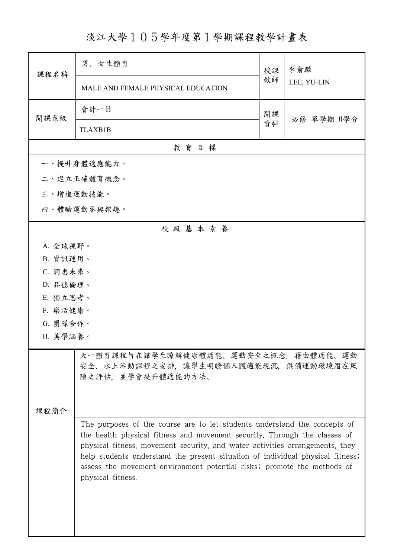淡江大學105學年度第1學期課程教學計畫表

| 課程名稱                                                                                                                                                                                                                                                                                                                                                                                                                     | 男、女生體育                             | 授課 | 李俞麟<br>LEE, YU-LIN |  |  |  |  |
|--------------------------------------------------------------------------------------------------------------------------------------------------------------------------------------------------------------------------------------------------------------------------------------------------------------------------------------------------------------------------------------------------------------------------|------------------------------------|----|--------------------|--|--|--|--|
|                                                                                                                                                                                                                                                                                                                                                                                                                          | MALE AND FEMALE PHYSICAL EDUCATION | 教師 |                    |  |  |  |  |
| 開課系級                                                                                                                                                                                                                                                                                                                                                                                                                     | 會計一B                               | 開課 | 必修 單學期 0學分         |  |  |  |  |
|                                                                                                                                                                                                                                                                                                                                                                                                                          | <b>TLAXB1B</b>                     | 資料 |                    |  |  |  |  |
|                                                                                                                                                                                                                                                                                                                                                                                                                          | 教育目標                               |    |                    |  |  |  |  |
|                                                                                                                                                                                                                                                                                                                                                                                                                          | 一、提升身體適應能力。                        |    |                    |  |  |  |  |
|                                                                                                                                                                                                                                                                                                                                                                                                                          | 二、建立正確體育概念。                        |    |                    |  |  |  |  |
|                                                                                                                                                                                                                                                                                                                                                                                                                          | 三、增進運動技能。                          |    |                    |  |  |  |  |
|                                                                                                                                                                                                                                                                                                                                                                                                                          | 四、體驗運動參與樂趣。                        |    |                    |  |  |  |  |
|                                                                                                                                                                                                                                                                                                                                                                                                                          | 校級基本素養                             |    |                    |  |  |  |  |
| A. 全球視野。                                                                                                                                                                                                                                                                                                                                                                                                                 |                                    |    |                    |  |  |  |  |
| B. 資訊運用。                                                                                                                                                                                                                                                                                                                                                                                                                 |                                    |    |                    |  |  |  |  |
| C. 洞悉未來。                                                                                                                                                                                                                                                                                                                                                                                                                 |                                    |    |                    |  |  |  |  |
| D. 品德倫理。                                                                                                                                                                                                                                                                                                                                                                                                                 |                                    |    |                    |  |  |  |  |
| E. 獨立思考。                                                                                                                                                                                                                                                                                                                                                                                                                 |                                    |    |                    |  |  |  |  |
| F. 樂活健康。                                                                                                                                                                                                                                                                                                                                                                                                                 |                                    |    |                    |  |  |  |  |
| G. 團隊合作。                                                                                                                                                                                                                                                                                                                                                                                                                 |                                    |    |                    |  |  |  |  |
| H. 美學涵養。                                                                                                                                                                                                                                                                                                                                                                                                                 |                                    |    |                    |  |  |  |  |
| 大一體育課程旨在讓學生瞭解健康體適能、運動安全之概念,藉由體適能、運動<br>安全、水上活動課程之安排,讓學生明瞭個人體適能現況,俱備運動環境潛在風<br>險之評估,並學會提升體適能的方法。<br>课程简介                                                                                                                                                                                                                                                                                                                  |                                    |    |                    |  |  |  |  |
| The purposes of the course are to let students understand the concepts of<br>the health physical fitness and movement security. Through the classes of<br>physical fitness, movement security, and water activities arrangements, they<br>help students understand the present situation of individual physical fitness;<br>assess the movement environment potential risks; promote the methods of<br>physical fitness. |                                    |    |                    |  |  |  |  |

ı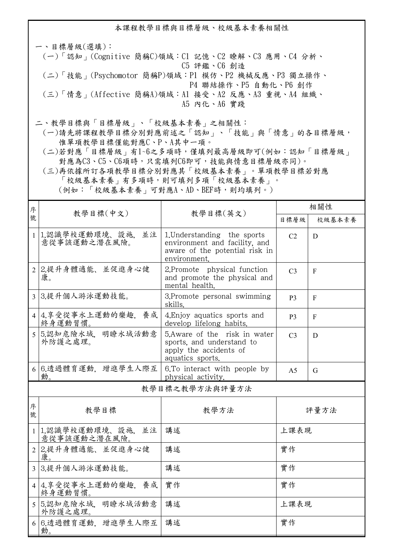本課程教學目標與目標層級、校級基本素養相關性

一、目標層級(選填): (一)「認知」(Cognitive 簡稱C)領域:C1 記憶、C2 瞭解、C3 應用、C4 分析、 C5 評鑑、C6 創造 (二)「技能」(Psychomotor 簡稱P)領域:P1 模仿、P2 機械反應、P3 獨立操作、 P4 聯結操作、P5 自動化、P6 創作 (三)「情意」(Affective 簡稱A)領域:A1 接受、A2 反應、A3 重視、A4 組織、 A5 內化、A6 實踐

二、教學目標與「目標層級」、「校級基本素養」之相關性:

 (一)請先將課程教學目標分別對應前述之「認知」、「技能」與「情意」的各目標層級, 惟單項教學目標僅能對應C、P、A其中一項。

 (二)若對應「目標層級」有1~6之多項時,僅填列最高層級即可(例如:認知「目標層級」 對應為C3、C5、C6項時,只需填列C6即可,技能與情意目標層級亦同)。

 (三)再依據所訂各項教學目標分別對應其「校級基本素養」。單項教學目標若對應 「校級基本素養」有多項時,則可填列多項「校級基本素養」。 (例如:「校級基本素養」可對應A、AD、BEF時,則均填列。)

| 序              |                                        |                                                                                                                | 相關性            |        |  |  |
|----------------|----------------------------------------|----------------------------------------------------------------------------------------------------------------|----------------|--------|--|--|
| 號              | 教學目標(中文)<br>教學目標(英文)                   |                                                                                                                | 目標層級           | 校級基本素養 |  |  |
|                | 1 1.認識學校運動環境、設施,<br>並注<br>意從事該運動之潛在風險。 | 1. Understanding the sports<br>environment and facility, and<br>aware of the potential risk in<br>environment. | C <sub>2</sub> | D      |  |  |
|                | 2 2.提升身體適能、並促進身心健<br>康。                | 2. Promote physical function<br>and promote the physical and<br>mental health.                                 | C <sub>3</sub> | F      |  |  |
|                | 3 3.提升個人游泳運動技能。                        | 3. Promote personal swimming<br>skills.                                                                        | <b>P3</b>      | F      |  |  |
|                | 4 4.享受從事水上運動的樂趣. 養成<br>終身運動習慣。         | 4. Enjoy aquatics sports and<br>develop lifelong habits.                                                       | P <sub>3</sub> | F      |  |  |
|                | 5 5.認知危險水域. 明瞭水域活動意<br>外防護之處理。         | 5. Aware of the risk in water<br>sports, and understand to<br>apply the accidents of<br>aquatics sports.       | C <sub>3</sub> | D      |  |  |
|                | 6 6.透過體育運動, 增進學生人際互<br>動。              | 6. To interact with people by<br>physical activity.                                                            | A <sub>5</sub> | G      |  |  |
| 教學目標之教學方法與評量方法 |                                        |                                                                                                                |                |        |  |  |
| 序<br>號         | 教學目標                                   | 教學方法                                                                                                           |                | 評量方法   |  |  |
|                | 1 1.認識學校運動環境、設施、並注<br>意從事該運動之潛在風險。     | 講述                                                                                                             | 上課表現           |        |  |  |
|                | 2 2.提升身體適能、並促進身心健<br>康。                | 講述                                                                                                             | 實作             |        |  |  |
|                | 3 3.提升個人游泳運動技能。                        | 講述                                                                                                             | 實作             |        |  |  |
|                | 4 4.享受從事水上運動的樂趣, 養成<br>終身運動習慣。         | 實作                                                                                                             | 實作             |        |  |  |
|                | 5 5.認知危險水域. 明瞭水域活動意<br>外防護之處理。         | 講述                                                                                                             | 上課表現           |        |  |  |
|                | 6 6.透過體育運動, 增進學生人際互<br>動。              | 講述                                                                                                             | 實作             |        |  |  |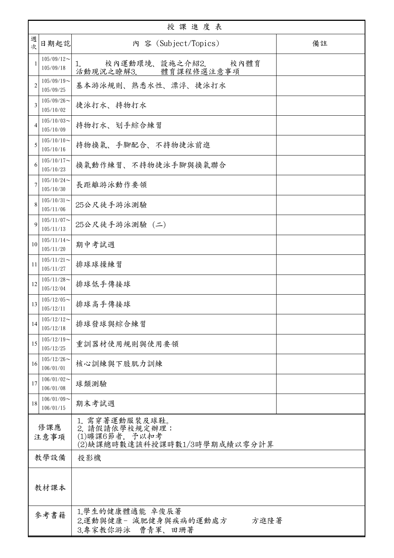| 授課進度表          |                            |                                                                                    |    |  |
|----------------|----------------------------|------------------------------------------------------------------------------------|----|--|
| 週<br>次         | 日期起訖                       | 内 容 (Subject/Topics)                                                               | 備註 |  |
| $\mathbf{1}$   | $105/09/12$ ~<br>105/09/18 | 校內運動環境、設施之介紹2. 校內體育<br>1.<br>活動現況之瞭解3. 體育課程修選注意事項                                  |    |  |
| $\overline{2}$ | $105/09/19$ ~<br>105/09/25 | 基本游泳規則、熟悉水性、漂浮、捷泳打水                                                                |    |  |
| 3              | $105/09/26$ ~<br>105/10/02 | 捷泳打水、持物打水                                                                          |    |  |
| 4              | $105/10/03$ ~<br>105/10/09 | 持物打水、划手綜合練習                                                                        |    |  |
| 5              | $105/10/10$ ~<br>105/10/16 | 持物換氣、手腳配合、不持物捷泳前進                                                                  |    |  |
| 6              | $105/10/17$ ~<br>105/10/23 | 换氣動作練習、不持物捷泳手腳與換氣聯合                                                                |    |  |
| 7              | $105/10/24$ ~<br>105/10/30 | 長距離游泳動作要領                                                                          |    |  |
| 8              | $105/10/31$ ~<br>105/11/06 | 25公尺徒手游泳測驗                                                                         |    |  |
| $\mathbf Q$    | $105/11/07$ ~<br>105/11/13 | 25公尺徒手游泳測驗 (二)                                                                     |    |  |
| 10             | $105/11/14$ ~<br>105/11/20 | 期中考試週                                                                              |    |  |
| 11             | $105/11/21$ ~<br>105/11/27 | 排球球操練習                                                                             |    |  |
| 12             | $105/11/28$ ~<br>105/12/04 | 排球低手傳接球                                                                            |    |  |
| 13             | $105/12/05$ ~<br>105/12/11 | 排球高手傳接球                                                                            |    |  |
| 14             | $105/12/12$ ~<br>105/12/18 | 排球發球與綜合練習                                                                          |    |  |
| 15             | $105/12/19$ ~<br>105/12/25 | 重訓器材使用規則與使用要領                                                                      |    |  |
| 16             | $105/12/26$ ~<br>106/01/01 | 核心訓練與下肢肌力訓練                                                                        |    |  |
| 17             | $106/01/02$ ~<br>106/01/08 | 球類測驗                                                                               |    |  |
| 18             | $106/01/09$ ~<br>106/01/15 | 期末考試週                                                                              |    |  |
| 修課應<br>注意事項    |                            | 1. 需穿著運動服裝及球鞋。<br>2. 請假請依學校規定辦理:<br>(1)曠課6節者, 予以扣考<br>(2)缺課總時數達該科授課時數1/3時學期成績以零分計算 |    |  |
|                | 教學設備<br>投影機                |                                                                                    |    |  |
| 教材課本           |                            |                                                                                    |    |  |
|                | 參考書籍                       | 1.學生的健康體適能 卓俊辰著<br>2.運動與健康- 減肥健身與疾病的運動處方<br>方進隆著<br>3.專家教你游泳 曹青軍、田珊著               |    |  |